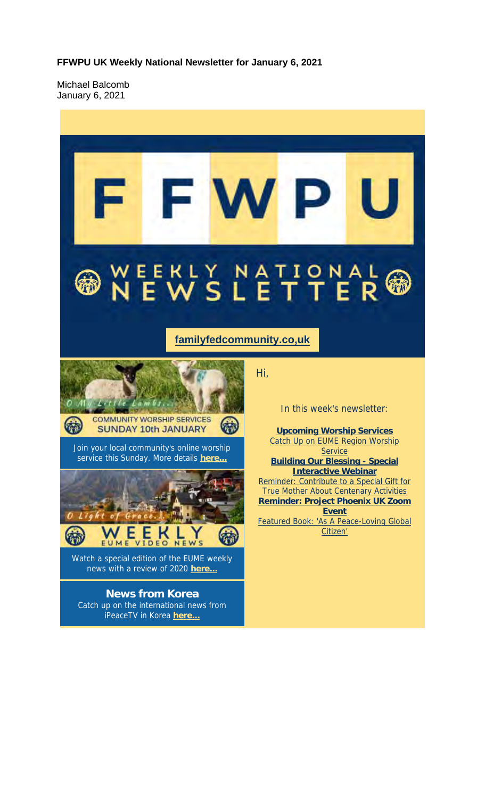**FFWPU UK Weekly National Newsletter for January 6, 2021**

Michael Balcomb January 6, 2021

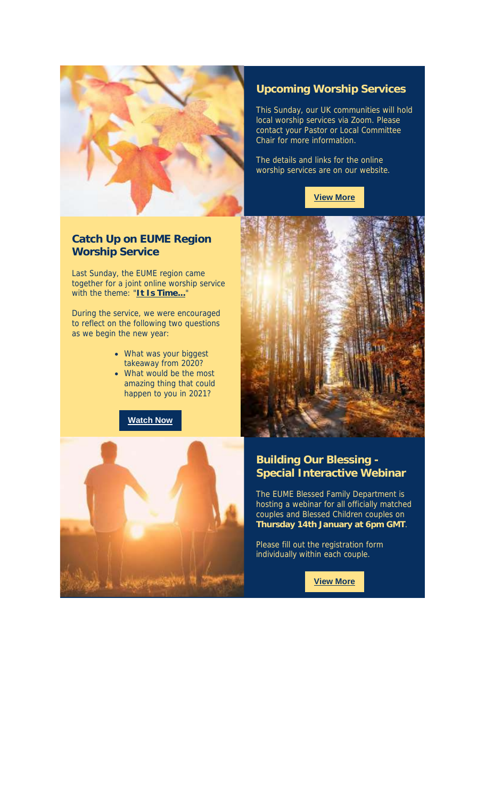

#### **Catch Up on EUME Region Worship Service**

Last Sunday, the EUME region came together for a joint online worship service with the theme: "**It Is Time...**"

During the service, we were encouraged to reflect on the following two questions as we begin the new year:

- What was your biggest takeaway from 2020?
- What would be the most amazing thing that could happen to you in 2021?

**Watch Now**



This Sunday, our UK communities will hold local worship services via Zoom. Please contact your Pastor or Local Committee Chair for more information.

The details and links for the online worship services are on our website.

**View More**





### **Building Our Blessing - Special Interactive Webinar**

The EUME Blessed Family Department is hosting a webinar for all officially matched couples and Blessed Children couples on **Thursday 14th January at 6pm GMT**.

Please fill out the registration form individually within each couple.

**View More**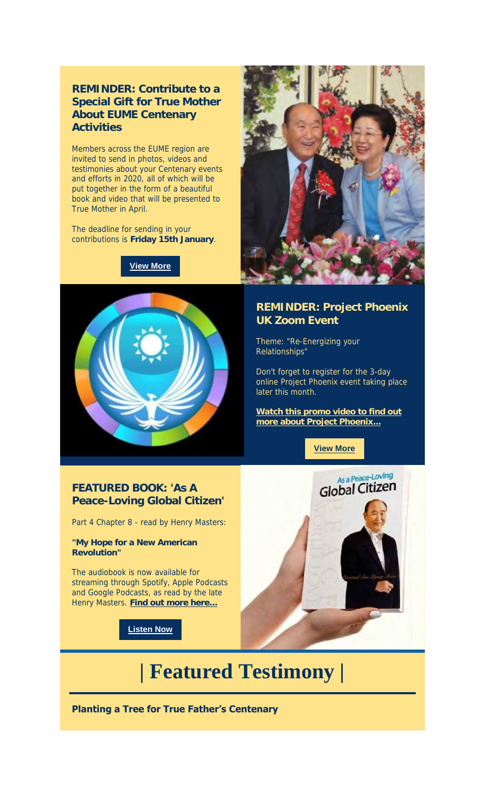#### **REMINDER: Contribute to a Special Gift for True Mother About EUME Centenary Activities**

Members across the EUME region are invited to send in photos, videos and testimonies about your Centenary events and efforts in 2020, all of which will be put together in the form of a beautiful book and video that will be presented to True Mother in April.

The deadline for sending in your contributions is **Friday 15th January**.

**View More**





#### **REMINDER: Project Phoenix UK Zoom Event**

Theme: "Re-Energizing your Relationships"

Don't forget to register for the 3-day online Project Phoenix event taking place later this month.

**Watch this promo video to find out more about Project Phoenix...**

**View More**

#### **FEATURED BOOK: 'As A Peace-Loving Global Citizen'**

Part 4 Chapter 8 - read by Henry Masters:

**"My Hope for a New American Revolution"**

The audiobook is now available for streaming through Spotify, Apple Podcasts and Google Podcasts, as read by the late Henry Masters. **Find out more here...**

**Listen Now**



# **| Featured Testimony |**

**Planting a Tree for True Father's Centenary**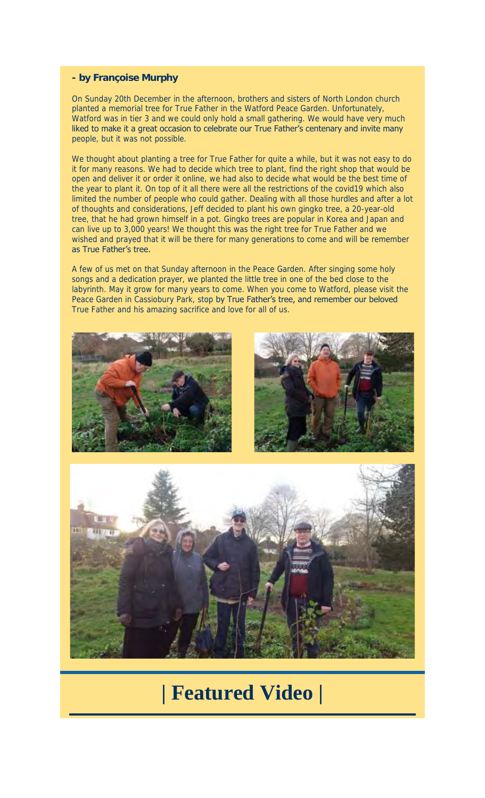#### **- by Françoise Murphy**

On Sunday 20th December in the afternoon, brothers and sisters of North London church planted a memorial tree for True Father in the Watford Peace Garden. Unfortunately, Watford was in tier 3 and we could only hold a small gathering. We would have very much liked to make it a great occasion to celebrate our True Father's centenary and invite many people, but it was not possible.

We thought about planting a tree for True Father for quite a while, but it was not easy to do it for many reasons. We had to decide which tree to plant, find the right shop that would be open and deliver it or order it online, we had also to decide what would be the best time of the year to plant it. On top of it all there were all the restrictions of the covid19 which also limited the number of people who could gather. Dealing with all those hurdles and after a lot of thoughts and considerations, Jeff decided to plant his own gingko tree, a 20-year-old tree, that he had grown himself in a pot. Gingko trees are popular in Korea and Japan and can live up to 3,000 years! We thought this was the right tree for True Father and we wished and prayed that it will be there for many generations to come and will be remember as True Father's tree.

A few of us met on that Sunday afternoon in the Peace Garden. After singing some holy songs and a dedication prayer, we planted the little tree in one of the bed close to the labyrinth. May it grow for many years to come. When you come to Watford, please visit the Peace Garden in Cassiobury Park, stop by True Father's tree, and remember our beloved True Father and his amazing sacrifice and love for all of us.







## **| Featured Video |**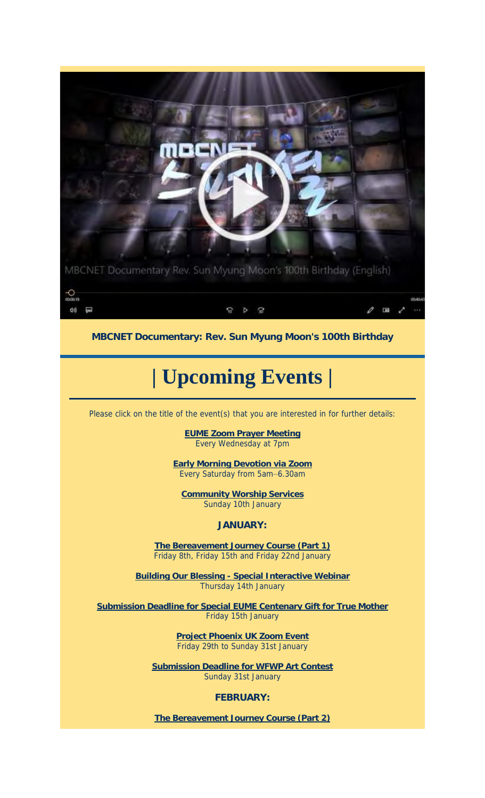